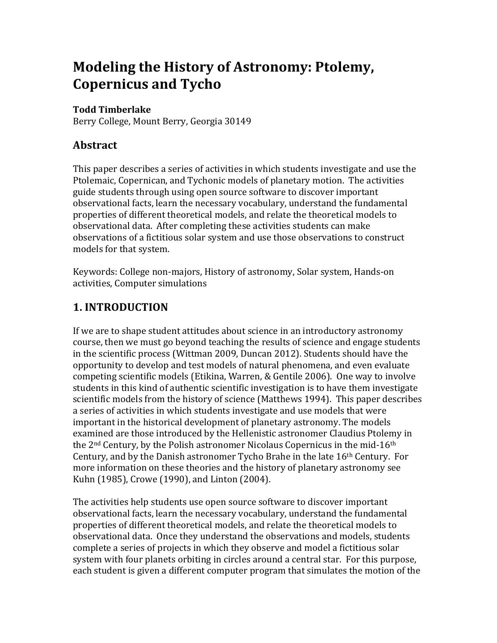# **Modeling the History of Astronomy: Ptolemy, Copernicus and Tycho**

#### **Todd Timberlake**

Berry College, Mount Berry, Georgia 30149

### **Abstract**

This paper describes a series of activities in which students investigate and use the Ptolemaic, Copernican, and Tychonic models of planetary motion. The activities guide students through using open source software to discover important observational facts, learn the necessary vocabulary, understand the fundamental properties of different theoretical models, and relate the theoretical models to observational data. After completing these activities students can make observations of a fictitious solar system and use those observations to construct models for that system.

Keywords: College non-majors, History of astronomy, Solar system, Hands-on activities, Computer simulations

### **1. INTRODUCTION**

If we are to shape student attitudes about science in an introductory astronomy course, then we must go beyond teaching the results of science and engage students in the scientific process (Wittman 2009, Duncan 2012). Students should have the opportunity to develop and test models of natural phenomena, and even evaluate competing scientific models (Etikina, Warren,  $&$  Gentile 2006). One way to involve students in this kind of authentic scientific investigation is to have them investigate scientific models from the history of science (Matthews 1994). This paper describes a series of activities in which students investigate and use models that were important in the historical development of planetary astronomy. The models examined are those introduced by the Hellenistic astronomer Claudius Ptolemy in the  $2<sup>nd</sup>$  Century, by the Polish astronomer Nicolaus Copernicus in the mid-16<sup>th</sup> Century, and by the Danish astronomer Tycho Brahe in the late  $16<sup>th</sup>$  Century. For more information on these theories and the history of planetary astronomy see Kuhn (1985), Crowe (1990), and Linton (2004).

The activities help students use open source software to discover important observational facts, learn the necessary vocabulary, understand the fundamental properties of different theoretical models, and relate the theoretical models to observational data. Once they understand the observations and models, students complete a series of projects in which they observe and model a fictitious solar system with four planets orbiting in circles around a central star. For this purpose, each student is given a different computer program that simulates the motion of the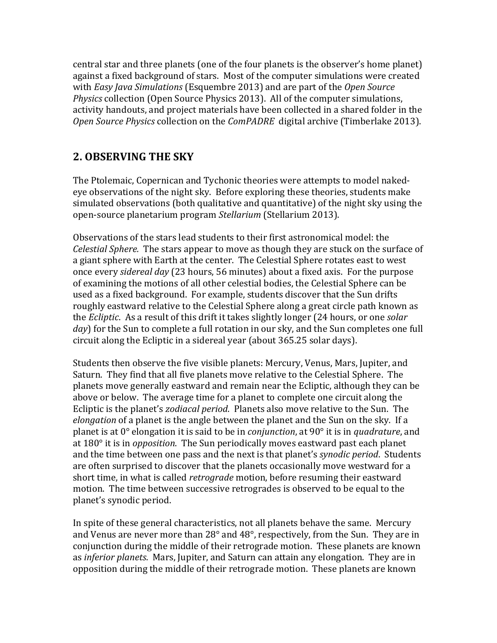central star and three planets (one of the four planets is the observer's home planet) against a fixed background of stars. Most of the computer simulations were created with *Easy Java Simulations* (Esquembre 2013) and are part of the *Open Source Physics* collection (Open Source Physics 2013). All of the computer simulations, activity handouts, and project materials have been collected in a shared folder in the *Open Source Physics* collection on the *ComPADRE* digital archive (Timberlake 2013).

### **2. OBSERVING THE SKY**

The Ptolemaic, Copernican and Tychonic theories were attempts to model nakedeye observations of the night sky. Before exploring these theories, students make simulated observations (both qualitative and quantitative) of the night sky using the open-source planetarium program *Stellarium* (Stellarium 2013).

Observations of the stars lead students to their first astronomical model: the *Celestial Sphere.* The stars appear to move as though they are stuck on the surface of a giant sphere with Earth at the center. The Celestial Sphere rotates east to west once every *sidereal day* (23 hours, 56 minutes) about a fixed axis. For the purpose of examining the motions of all other celestial bodies, the Celestial Sphere can be used as a fixed background. For example, students discover that the Sun drifts roughly eastward relative to the Celestial Sphere along a great circle path known as the *Ecliptic*. As a result of this drift it takes slightly longer (24 hours, or one *solar day*) for the Sun to complete a full rotation in our sky, and the Sun completes one full circuit along the Ecliptic in a sidereal year (about 365.25 solar days).

Students then observe the five visible planets: Mercury, Venus, Mars, Jupiter, and Saturn. They find that all five planets move relative to the Celestial Sphere. The planets move generally eastward and remain near the Ecliptic, although they can be above or below. The average time for a planet to complete one circuit along the Ecliptic is the planet's *zodiacal period*. Planets also move relative to the Sun. The *elongation* of a planet is the angle between the planet and the Sun on the sky. If a planet is at 0° elongation it is said to be in *conjunction*, at 90° it is in *quadrature*, and at 180° it is in *opposition*. The Sun periodically moves eastward past each planet and the time between one pass and the next is that planet's *synodic period*. Students are often surprised to discover that the planets occasionally move westward for a short time, in what is called *retrograde* motion, before resuming their eastward motion. The time between successive retrogrades is observed to be equal to the planet's synodic period.

In spite of these general characteristics, not all planets behave the same. Mercury and Venus are never more than  $28^\circ$  and  $48^\circ$ , respectively, from the Sun. They are in conjunction during the middle of their retrograde motion. These planets are known as *inferior planets*. Mars, Jupiter, and Saturn can attain any elongation. They are in opposition during the middle of their retrograde motion. These planets are known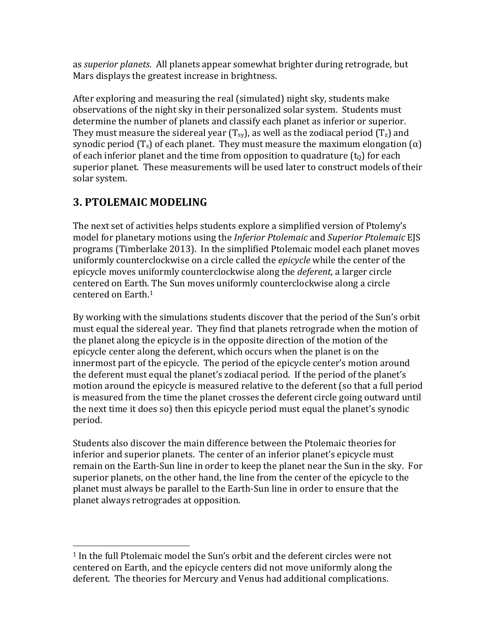as *superior planets*. All planets appear somewhat brighter during retrograde, but Mars displays the greatest increase in brightness.

After exploring and measuring the real (simulated) night sky, students make observations of the night sky in their personalized solar system. Students must determine the number of planets and classify each planet as inferior or superior. They must measure the sidereal year (T<sub>sy</sub>), as well as the zodiacal period (T<sub>z</sub>) and synodic period  $(T_s)$  of each planet. They must measure the maximum elongation  $(\alpha)$ of each inferior planet and the time from opposition to quadrature  $(t_0)$  for each superior planet. These measurements will be used later to construct models of their solar system.

## **3. PTOLEMAIC MODELING**

 

The next set of activities helps students explore a simplified version of Ptolemy's model for planetary motions using the *Inferior Ptolemaic* and *Superior Ptolemaic* EJS programs (Timberlake 2013). In the simplified Ptolemaic model each planet moves uniformly counterclockwise on a circle called the *epicycle* while the center of the epicycle moves uniformly counterclockwise along the *deferent*, a larger circle centered on Earth. The Sun moves uniformly counterclockwise along a circle centered on Earth.<sup>1</sup>

By working with the simulations students discover that the period of the Sun's orbit must equal the sidereal year. They find that planets retrograde when the motion of the planet along the epicycle is in the opposite direction of the motion of the epicycle center along the deferent, which occurs when the planet is on the innermost part of the epicycle. The period of the epicycle center's motion around the deferent must equal the planet's zodiacal period. If the period of the planet's motion around the epicycle is measured relative to the deferent (so that a full period is measured from the time the planet crosses the deferent circle going outward until the next time it does so) then this epicycle period must equal the planet's synodic period. 

Students also discover the main difference between the Ptolemaic theories for inferior and superior planets. The center of an inferior planet's epicycle must remain on the Earth-Sun line in order to keep the planet near the Sun in the sky. For superior planets, on the other hand, the line from the center of the epicycle to the planet must always be parallel to the Earth-Sun line in order to ensure that the planet always retrogrades at opposition.

 $1$  In the full Ptolemaic model the Sun's orbit and the deferent circles were not centered on Earth, and the epicycle centers did not move uniformly along the deferent. The theories for Mercury and Venus had additional complications.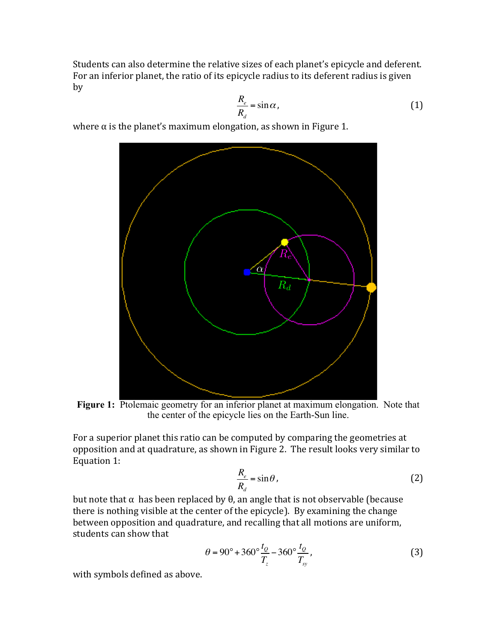Students can also determine the relative sizes of each planet's epicycle and deferent. For an inferior planet, the ratio of its epicycle radius to its deferent radius is given by

$$
\frac{R_e}{R_d} = \sin \alpha \,,\tag{1}
$$

where  $\alpha$  is the planet's maximum elongation, as shown in Figure 1.



Figure 1: Ptolemaic geometry for an inferior planet at maximum elongation. Note that the center of the epicycle lies on the Earth-Sun line.

For a superior planet this ratio can be computed by comparing the geometries at opposition and at quadrature, as shown in Figure 2. The result looks very similar to Equation 1:

$$
\frac{R_e}{R_d} = \sin \theta \,,\tag{2}
$$

but note that α has been replaced by  $θ$ , an angle that is not observable (because there is nothing visible at the center of the epicycle). By examining the change between opposition and quadrature, and recalling that all motions are uniform, students can show that

$$
\theta = 90^{\circ} + 360^{\circ} \frac{t_0}{T_z} - 360^{\circ} \frac{t_0}{T_{sy}},
$$
\n(3)

with symbols defined as above.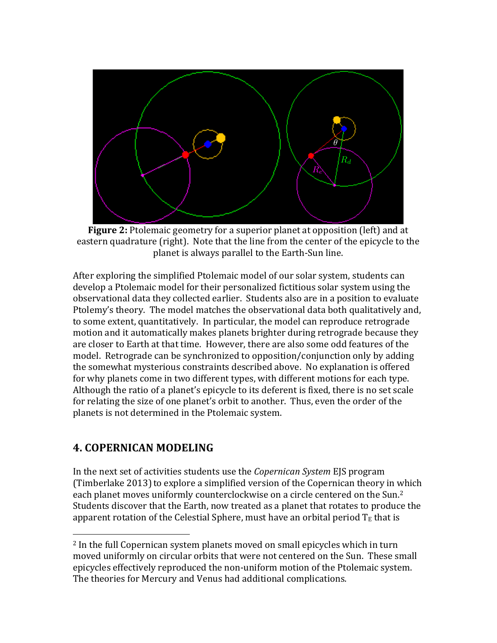

**Figure 2:** Ptolemaic geometry for a superior planet at opposition (left) and at eastern quadrature (right). Note that the line from the center of the epicycle to the planet is always parallel to the Earth-Sun line.

After exploring the simplified Ptolemaic model of our solar system, students can develop a Ptolemaic model for their personalized fictitious solar system using the observational data they collected earlier. Students also are in a position to evaluate Ptolemy's theory. The model matches the observational data both qualitatively and, to some extent, quantitatively. In particular, the model can reproduce retrograde motion and it automatically makes planets brighter during retrograde because they are closer to Earth at that time. However, there are also some odd features of the model. Retrograde can be synchronized to opposition/conjunction only by adding the somewhat mysterious constraints described above. No explanation is offered for why planets come in two different types, with different motions for each type. Although the ratio of a planet's epicycle to its deferent is fixed, there is no set scale for relating the size of one planet's orbit to another. Thus, even the order of the planets is not determined in the Ptolemaic system.

### **4. COPERNICAN MODELING**

 

In the next set of activities students use the *Copernican System* EJS program (Timberlake 2013) to explore a simplified version of the Copernican theory in which each planet moves uniformly counterclockwise on a circle centered on the Sun.<sup>2</sup> Students discover that the Earth, now treated as a planet that rotates to produce the apparent rotation of the Celestial Sphere, must have an orbital period  $T_E$  that is

 $2$  In the full Copernican system planets moved on small epicycles which in turn moved uniformly on circular orbits that were not centered on the Sun. These small epicycles effectively reproduced the non-uniform motion of the Ptolemaic system. The theories for Mercury and Venus had additional complications.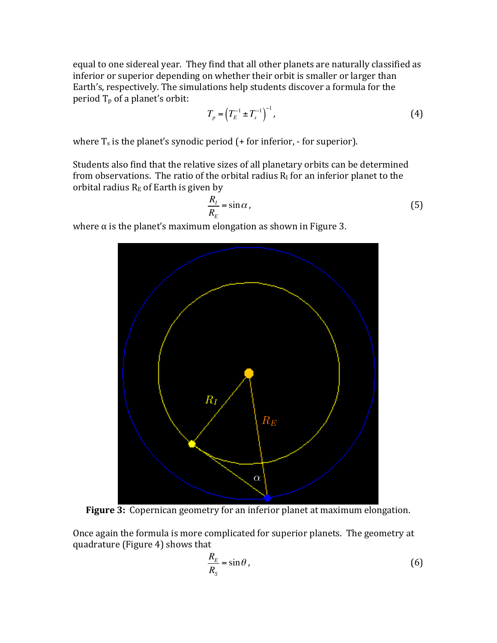equal to one sidereal year. They find that all other planets are naturally classified as inferior or superior depending on whether their orbit is smaller or larger than Earth's, respectively. The simulations help students discover a formula for the period  $T_p$  of a planet's orbit:

$$
T_p = \left(T_E^{-1} \pm T_s^{-1}\right)^{-1},\tag{4}
$$

where  $T_s$  is the planet's synodic period (+ for inferior, - for superior).

Students also find that the relative sizes of all planetary orbits can be determined from observations. The ratio of the orbital radius  $R<sub>I</sub>$  for an inferior planet to the orbital radius  $R_E$  of Earth is given by

$$
\frac{R_I}{R_E} = \sin \alpha \,,\tag{5}
$$

where  $\alpha$  is the planet's maximum elongation as shown in Figure 3.



**Figure 3:** Copernican geometry for an inferior planet at maximum elongation.

Once again the formula is more complicated for superior planets. The geometry at quadrature (Figure 4) shows that

$$
\frac{R_E}{R_S} = \sin \theta \,,\tag{6}
$$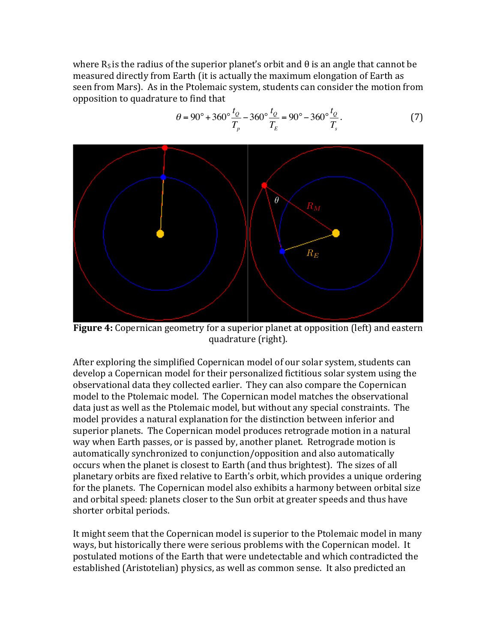where  $R_S$  is the radius of the superior planet's orbit and  $\theta$  is an angle that cannot be measured directly from Earth (it is actually the maximum elongation of Earth as seen from Mars). As in the Ptolemaic system, students can consider the motion from opposition to quadrature to find that

 $-360^{\circ}\frac{t_{Q}}{T}$ 

 $T_{\scriptscriptstyle E}$ 

 $= 90^\circ - 360^\circ \frac{t_0}{x}$ 

 $T_{s}$ 

 $(7)$ 

 $T_{\scriptscriptstyle p}$ 

 $\theta = 90^{\circ} + 360^{\circ} \frac{t_0}{T}$ 



**Figure 4:** Copernican geometry for a superior planet at opposition (left) and eastern quadrature (right).

After exploring the simplified Copernican model of our solar system, students can develop a Copernican model for their personalized fictitious solar system using the observational data they collected earlier. They can also compare the Copernican model to the Ptolemaic model. The Copernican model matches the observational data just as well as the Ptolemaic model, but without any special constraints. The model provides a natural explanation for the distinction between inferior and superior planets. The Copernican model produces retrograde motion in a natural way when Earth passes, or is passed by, another planet. Retrograde motion is automatically synchronized to conjunction/opposition and also automatically occurs when the planet is closest to Earth (and thus brightest). The sizes of all planetary orbits are fixed relative to Earth's orbit, which provides a unique ordering for the planets. The Copernican model also exhibits a harmony between orbital size and orbital speed: planets closer to the Sun orbit at greater speeds and thus have shorter orbital periods.

It might seem that the Copernican model is superior to the Ptolemaic model in many ways, but historically there were serious problems with the Copernican model. It postulated motions of the Earth that were undetectable and which contradicted the established (Aristotelian) physics, as well as common sense. It also predicted an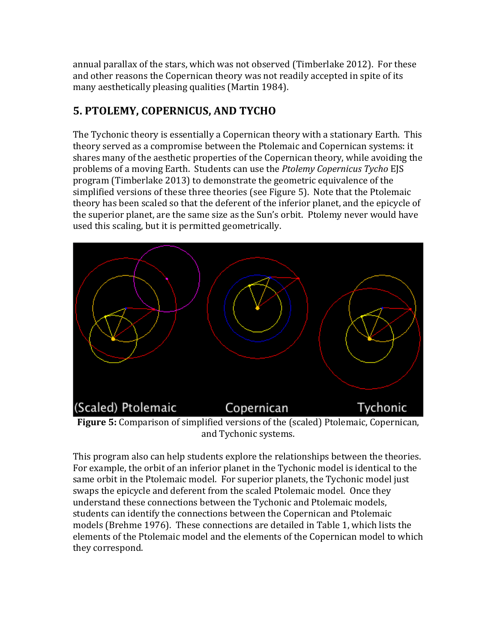annual parallax of the stars, which was not observed (Timberlake 2012). For these and other reasons the Copernican theory was not readily accepted in spite of its many aesthetically pleasing qualities (Martin 1984).

# **5. PTOLEMY, COPERNICUS, AND TYCHO**

The Tychonic theory is essentially a Copernican theory with a stationary Earth. This theory served as a compromise between the Ptolemaic and Copernican systems: it shares many of the aesthetic properties of the Copernican theory, while avoiding the problems of a moving Earth. Students can use the *Ptolemy Copernicus Tycho* EJS program (Timberlake 2013) to demonstrate the geometric equivalence of the simplified versions of these three theories (see Figure 5). Note that the Ptolemaic theory has been scaled so that the deferent of the inferior planet, and the epicycle of the superior planet, are the same size as the Sun's orbit. Ptolemy never would have used this scaling, but it is permitted geometrically.



and Tychonic systems.

This program also can help students explore the relationships between the theories. For example, the orbit of an inferior planet in the Tychonic model is identical to the same orbit in the Ptolemaic model. For superior planets, the Tychonic model just swaps the epicycle and deferent from the scaled Ptolemaic model. Once they understand these connections between the Tychonic and Ptolemaic models, students can identify the connections between the Copernican and Ptolemaic models (Brehme 1976). These connections are detailed in Table 1, which lists the elements of the Ptolemaic model and the elements of the Copernican model to which they correspond.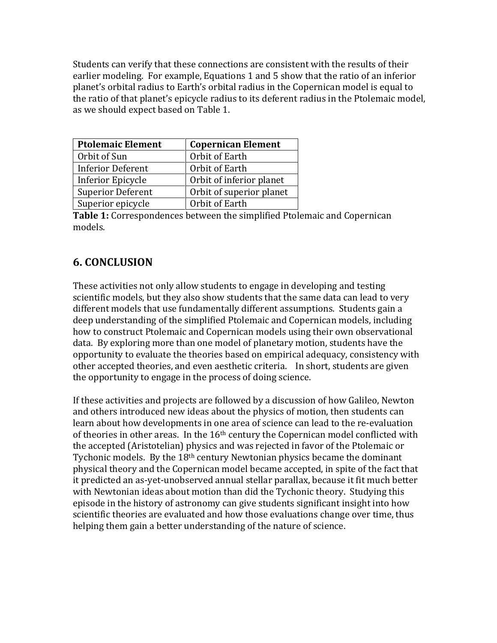Students can verify that these connections are consistent with the results of their earlier modeling. For example, Equations 1 and 5 show that the ratio of an inferior planet's orbital radius to Earth's orbital radius in the Copernican model is equal to the ratio of that planet's epicycle radius to its deferent radius in the Ptolemaic model, as we should expect based on Table 1.

| <b>Ptolemaic Element</b> | <b>Copernican Element</b> |
|--------------------------|---------------------------|
| Orbit of Sun             | Orbit of Earth            |
| <b>Inferior Deferent</b> | Orbit of Earth            |
| <b>Inferior Epicycle</b> | Orbit of inferior planet  |
| <b>Superior Deferent</b> | Orbit of superior planet  |
| Superior epicycle        | Orbit of Earth            |

**Table 1:** Correspondences between the simplified Ptolemaic and Copernican models.

### **6. CONCLUSION**

These activities not only allow students to engage in developing and testing scientific models, but they also show students that the same data can lead to very different models that use fundamentally different assumptions. Students gain a deep understanding of the simplified Ptolemaic and Copernican models, including how to construct Ptolemaic and Copernican models using their own observational data. By exploring more than one model of planetary motion, students have the opportunity to evaluate the theories based on empirical adequacy, consistency with other accepted theories, and even aesthetic criteria. In short, students are given the opportunity to engage in the process of doing science.

If these activities and projects are followed by a discussion of how Galileo, Newton and others introduced new ideas about the physics of motion, then students can learn about how developments in one area of science can lead to the re-evaluation of theories in other areas. In the  $16<sup>th</sup>$  century the Copernican model conflicted with the accepted (Aristotelian) physics and was rejected in favor of the Ptolemaic or Tychonic models. By the  $18<sup>th</sup>$  century Newtonian physics became the dominant physical theory and the Copernican model became accepted, in spite of the fact that it predicted an as-yet-unobserved annual stellar parallax, because it fit much better with Newtonian ideas about motion than did the Tychonic theory. Studying this episode in the history of astronomy can give students significant insight into how scientific theories are evaluated and how those evaluations change over time, thus helping them gain a better understanding of the nature of science.